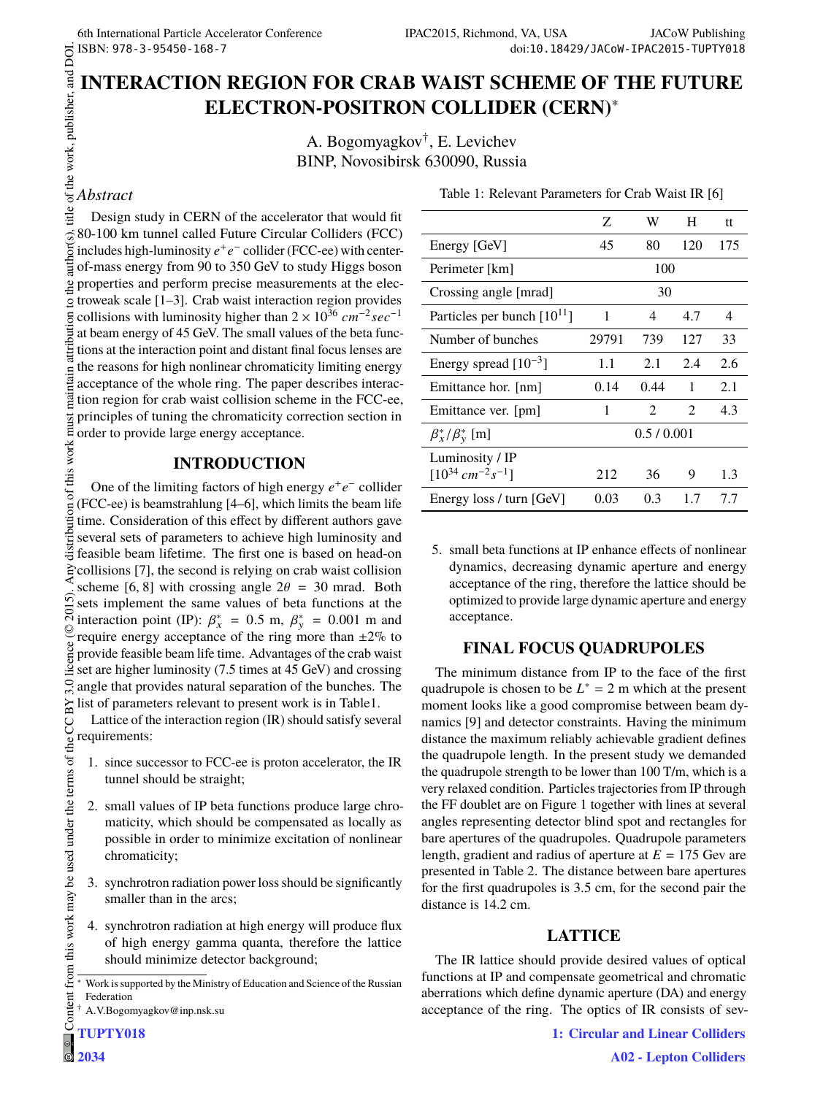Table 1: Relevant Parameters for Crab Waist IR [6]

# **INTERACTION REGION FOR CRAB WAIST SCHEME OF THE FUTURE ELECTRON-POSITRON COLLIDER (CERN)**<sup>∗</sup>

A. Bogomyagkov† , E. Levichev BINP, Novosibirsk 630090, Russia

## *Abstract*

title of the work, publisher, and DOI. 2015). Any distribution of this work must maintain attribution to the author(s), title of the work, publisher, and DOI. Design study in CERN of the accelerator that would fit uthor(s), 80-100 km tunnel called Future Circular Colliders (FCC) includes high-luminosity *e* + *e* − collider (FCC-ee) with centerof-mass energy from 90 to 350 GeV to study Higgs boson  $\approx$  properties and perform precise measurements at the elec- $\frac{1}{2}$  troweak scale [1–3]. Crab waist interaction region provides collisions with luminosity higher than  $2 \times 10^{36} \, \text{cm}^{-2} \text{sec}^{-1}$ at beam energy of 45 GeV. The small values of the beta functions at the interaction point and distant final focus lenses are the reasons for high nonlinear chromaticity limiting energy acceptance of the whole ring. The paper describes interaction region for crab waist collision scheme in the FCC-ee, principles of tuning the chromaticity correction section in order to provide large energy acceptance.

### **INTRODUCTION**

of this work must One of the limiting factors of high energy  $e^+e^-$  collider (FCC-ee) is beamstrahlung [4–6], which limits the beam life distribution time. Consideration of this effect by different authors gave several sets of parameters to achieve high luminosity and feasible beam lifetime. The first one is based on head-on collisions [7], the second is relying on crab waist collision scheme [6, 8] with crossing angle  $2\theta = 30$  mrad. Both  $\overline{5}$ sets implement the same values of beta functions at the  $201$ interaction point (IP):  $\beta_x^* = 0.5$  m,  $\beta_y^* = 0.001$  m and ©Content from this work may be used under the terms of the CC BY 3.0 licence ( $\epsilon$ require energy acceptance of the ring more than  $\pm 2\%$  to provide feasible beam life time. Advantages of the crab waist set are higher luminosity (7.5 times at 45 GeV) and crossing  $3.0$ angle that provides natural separation of the bunches. The  $\approx$  list of parameters relevant to present work is in Table1.

Lattice of the interaction region (IR) should satisfy several g requirements:

- 1. since successor to FCC-ee is proton accelerator, the IR tunnel should be straight;
- 2. small values of IP beta functions produce large chromaticity, which should be compensated as locally as possible in order to minimize excitation of nonlinear chromaticity;
- 3. synchrotron radiation power loss should be significantly smaller than in the arcs;
- 4. synchrotron radiation at high energy will produce flux of high energy gamma quanta, therefore the lattice should minimize detector background;

|                                               | Z         | W    | H              | tt  |
|-----------------------------------------------|-----------|------|----------------|-----|
| Energy [GeV]                                  | 45        | 80   | 120            | 175 |
| Perimeter [km]                                | 100       |      |                |     |
| Crossing angle [mrad]                         | 30        |      |                |     |
| Particles per bunch $[10^{11}]$               | 1         | 4    | 4.7            | 4   |
| Number of bunches                             | 29791     | 739  | 127            | 33  |
| Energy spread $[10^{-3}]$                     | 1.1       | 2.1  | 2.4            | 2.6 |
| Emittance hor. [nm]                           | 0.14      | 0.44 | 1              | 2.1 |
| Emittance ver. [pm]                           | 1         | 2    | $\mathfrak{D}$ | 4.3 |
| $\beta_x^*/\beta_y^*$ [m]                     | 0.5/0.001 |      |                |     |
| Luminosity / IP                               |           |      |                |     |
| $[10^{34}$ cm <sup>-2</sup> s <sup>-1</sup> ] | 212       | 36   | 9              | 1.3 |
| Energy loss / turn [GeV]                      | 0.03      | 0.3  | 1.7            | 7.7 |

5. small beta functions at IP enhance effects of nonlinear dynamics, decreasing dynamic aperture and energy acceptance of the ring, therefore the lattice should be optimized to provide large dynamic aperture and energy acceptance.

### **FINAL FOCUS QUADRUPOLES**

The minimum distance from IP to the face of the first quadrupole is chosen to be  $L^* = 2$  m which at the present moment looks like a good compromise between beam dynamics [9] and detector constraints. Having the minimum distance the maximum reliably achievable gradient defines the quadrupole length. In the present study we demanded the quadrupole strength to be lower than 100 T/m, which is a very relaxed condition. Particles trajectories from IP through the FF doublet are on Figure 1 together with lines at several angles representing detector blind spot and rectangles for bare apertures of the quadrupoles. Quadrupole parameters length, gradient and radius of aperture at  $E = 175$  Gev are presented in Table 2. The distance between bare apertures for the first quadrupoles is 3.5 cm, for the second pair the distance is 14.2 cm.

### **LATTICE**

The IR lattice should provide desired values of optical functions at IP and compensate geometrical and chromatic aberrations which define dynamic aperture (DA) and energy acceptance of the ring. The optics of IR consists of sev-

Work is supported by the Ministry of Education and Science of the Russian Federation

<sup>†</sup> A.V.Bogomyagkov@inp.nsk.su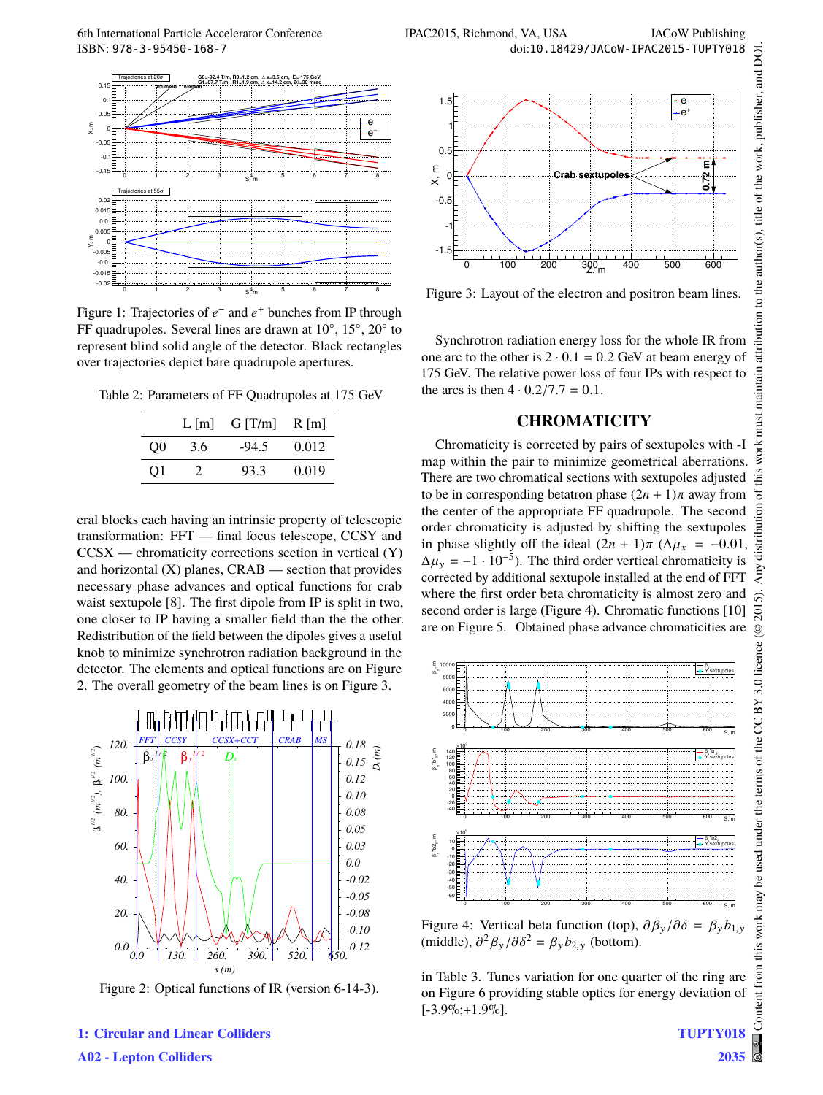

Figure 1: Trajectories of  $e^-$  and  $e^+$  bunches from IP through FF quadrupoles. Several lines are drawn at 10°, 15°, 20° to represent blind solid angle of the detector. Black rectangles over trajectories depict bare quadrupole apertures.

Table 2: Parameters of FF Quadrupoles at 175 GeV

|     | $L \,[\mathrm{m}]$ | G[T/m]  | $R$ [m] |
|-----|--------------------|---------|---------|
| O() | 3.6                | $-94.5$ | 0.012   |
| O1  |                    | 93.3    | 0.019   |

eral blocks each having an intrinsic property of telescopic transformation: FFT — final focus telescope, CCSY and  $CCSX$  — chromaticity corrections section in vertical  $(Y)$ and horizontal  $(X)$  planes,  $CRAB$  — section that provides necessary phase advances and optical functions for crab waist sextupole [8]. The first dipole from IP is split in two, one closer to IP having a smaller field than the the other. Redistribution of the field between the dipoles gives a useful knob to minimize synchrotron radiation background in the detector. The elements and optical functions are on Figure 2. The overall geometry of the beam lines is on Figure 3.



Figure 2: Optical functions of IR (version 6-14-3).



Figure 3: Layout of the electron and positron beam lines.

Synchrotron radiation energy loss for the whole IR from one arc to the other is  $2 \cdot 0.1 = 0.2$  GeV at beam energy of 175 GeV. The relative power loss of four IPs with respect to the arcs is then  $4 \cdot 0.2/7.7 = 0.1$ .

#### **CHROMATICITY**

Chromaticity is corrected by pairs of sextupoles with -I map within the pair to minimize geometrical aberrations. There are two chromatical sections with sextupoles adjusted to be in corresponding betatron phase  $(2n + 1)\pi$  away from the center of the appropriate FF quadrupole. The second order chromaticity is adjusted by shifting the sextupoles in phase slightly off the ideal  $(2n + 1)\pi$  ( $\Delta \mu_x = -0.01$ ,  $\Delta \mu_y = -1 \cdot 10^{-5}$ ). The third order vertical chromaticity is corrected by additional sextupole installed at the end of FFT where the first order beta chromaticity is almost zero and second order is large (Figure 4). Chromatic functions [10] are on Figure 5. Obtained phase advance chromaticities are



Figure 4: Vertical beta function (top),  $\partial \beta_y / \partial \delta = \beta_y b_{1,y}$ (middle),  $\partial^2 \beta_y / \partial \delta^2 = \beta_y b_{2,y}$  (bottom).

in Table 3. Tunes variation for one quarter of the ring are on Figure 6 providing stable optics for energy deviation of  $[-3.9\%;+1.9\%]$ 

**1: Circular and Linear Colliders A02 - Lepton Colliders**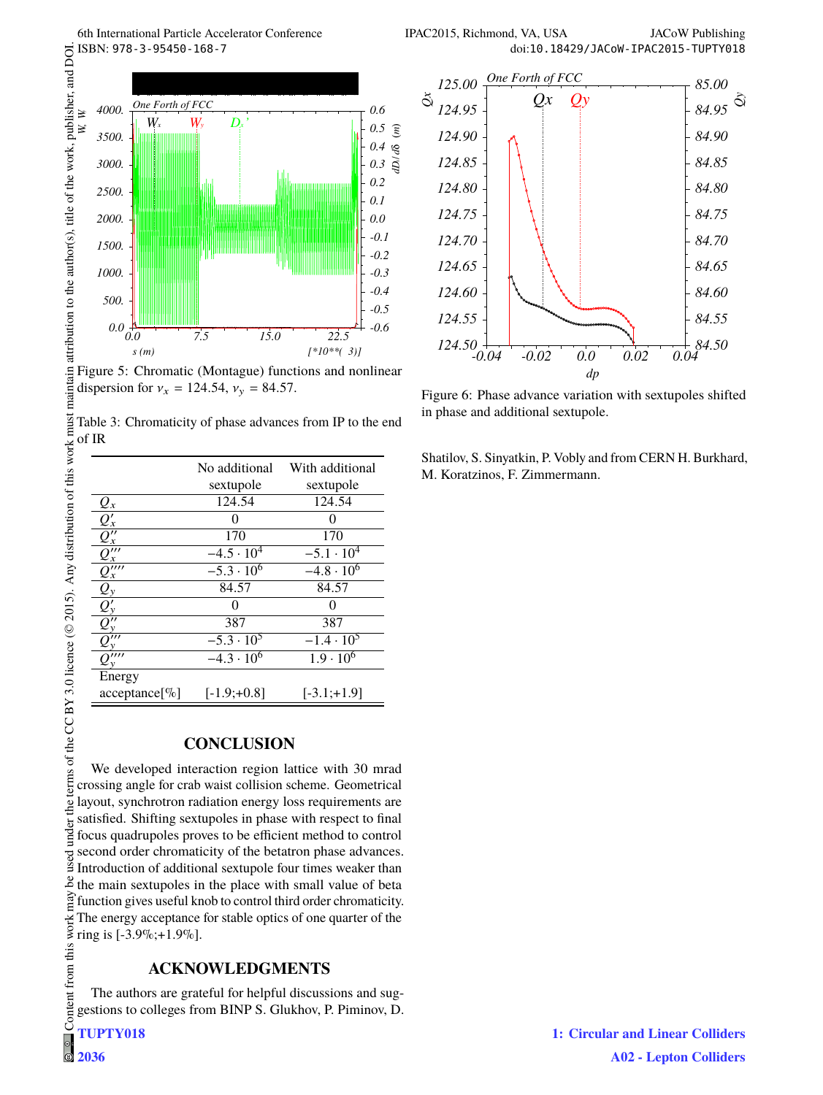





Figure 5: Chromatic (Montague) functions and nonlinear dispersion for  $v_x = 124.54$ ,  $v_y = 84.57$ .

Table 3: Chromaticity of phase advances from IP to the end of IR terms of the CC BY 3.0 licence ( $\odot$  2015). Any distribution of this work must

|                                    | No additional       | With additional     |
|------------------------------------|---------------------|---------------------|
|                                    | sextupole           | sextupole           |
| $Q_x$                              | 124.54              | 124.54              |
| $Q'_x$                             |                     |                     |
| $\overline{\mathcal{Q}''_{x}}$     | 170                 | 170                 |
| $Q_{x}^{\prime\prime\prime}$       | $-4.5 \cdot 10^{4}$ | $-5.1 \cdot 10^{4}$ |
| $Q_{x}^{\prime\prime\prime\prime}$ | $-5.3 \cdot 10^{6}$ | $-4.8 \cdot 10^{6}$ |
| $Q_{y}$                            | 84.57               | 84.57               |
| $Q_1'$                             |                     |                     |
| $Q_{\rm v}^{\prime}$               | 387                 | 387                 |
| $Q_{y}^{\prime\prime\prime}$       | $-5.3 \cdot 10^{5}$ | $-1.4 \cdot 10^{5}$ |
| Q'''                               | $-4.3 \cdot 10^{6}$ | $1.9 \cdot 10^{6}$  |
| Energy                             |                     |                     |
| acceptance[%]                      | $[-1.9; +0.8]$      | $[-3.1; +1.9]$      |

# **CONCLUSION**

Content from this work may be used under the terms of the CC BY 3.0 licence ( $\epsilon$ We developed interaction region lattice with 30 mrad crossing angle for crab waist collision scheme. Geometrical  $he1$ layout, synchrotron radiation energy loss requirements are satisfied. Shifting sextupoles in phase with respect to final under i focus quadrupoles proves to be efficient method to control second order chromaticity of the betatron phase advances. used Introduction of additional sextupole four times weaker than  $\frac{8}{3}$  the main sextupoles in the place with small value of beta  $\hat{f}$  function gives useful knob to control third order chromaticity. The energy acceptance for stable optics of one quarter of the ring is [-3.9%;+1.9%].

# **ACKNOWLEDGMENTS**

The authors are grateful for helpful discussions and suggestions to colleges from BINP S. Glukhov, P. Piminov, D.

**TUPTY018**

 $\circ$ **2036**

Figure 6: Phase advance variation with sextupoles shifted in phase and additional sextupole.

Shatilov, S. Sinyatkin, P. Vobly and from CERN H. Burkhard, M. Koratzinos, F. Zimmermann.